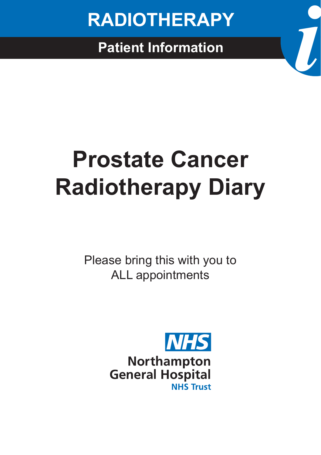

# **Prostate Cancer Radiotherapy Diary**

Please bring this with you to ALL appointments

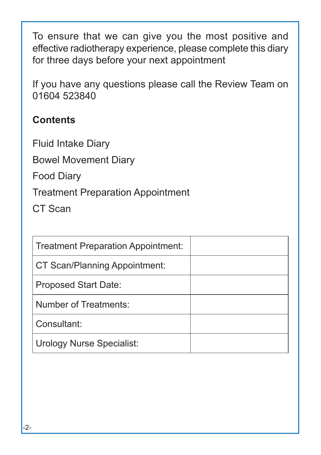To ensure that we can give you the most positive and effective radiotherapy experience, please complete this diary for three days before your next appointment

If you have any questions please call the Review Team on 01604 523840

#### **Contents**

Fluid Intake Diary

Bowel Movement Diary

Food Diary

Treatment Preparation Appointment

CT Scan

| Treatment Preparation Appointment: |  |
|------------------------------------|--|
| CT Scan/Planning Appointment:      |  |
| <b>Proposed Start Date:</b>        |  |
| Number of Treatments:              |  |
| Consultant:                        |  |
| <b>Urology Nurse Specialist:</b>   |  |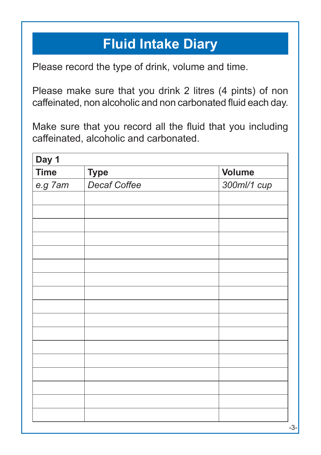## **Fluid Intake Diary**

Please record the type of drink, volume and time.

Please make sure that you drink 2 litres (4 pints) of non caffeinated, non alcoholic and non carbonated fluid each day.

Make sure that you record all the fluid that you including caffeinated, alcoholic and carbonated.

| Day 1       |              |               |
|-------------|--------------|---------------|
| <b>Time</b> | <b>Type</b>  | <b>Volume</b> |
| e.g 7am     | Decaf Coffee | 300ml/1 cup   |
|             |              |               |
|             |              |               |
|             |              |               |
|             |              |               |
|             |              |               |
|             |              |               |
|             |              |               |
|             |              |               |
|             |              |               |
|             |              |               |
|             |              |               |
|             |              |               |
|             |              |               |
|             |              |               |
|             |              |               |
|             |              |               |
|             |              |               |
|             |              |               |
|             |              |               |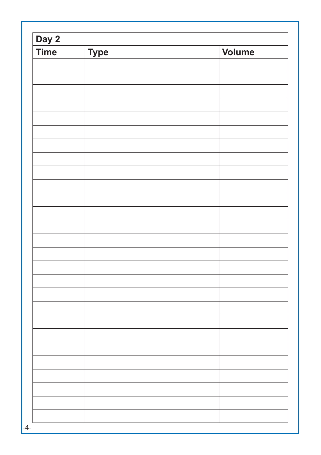| Day 2<br><b>Time</b> | <b>Type</b> | Volume |
|----------------------|-------------|--------|
|                      |             |        |
|                      |             |        |
|                      |             |        |
|                      |             |        |
|                      |             |        |
|                      |             |        |
|                      |             |        |
|                      |             |        |
|                      |             |        |
|                      |             |        |
|                      |             |        |
|                      |             |        |
|                      |             |        |
|                      |             |        |
|                      |             |        |
|                      |             |        |
|                      |             |        |
|                      |             |        |
|                      |             |        |
|                      |             |        |
|                      |             |        |
|                      |             |        |
|                      |             |        |
|                      |             |        |
|                      |             |        |
|                      |             |        |
|                      |             |        |
|                      |             |        |
|                      |             |        |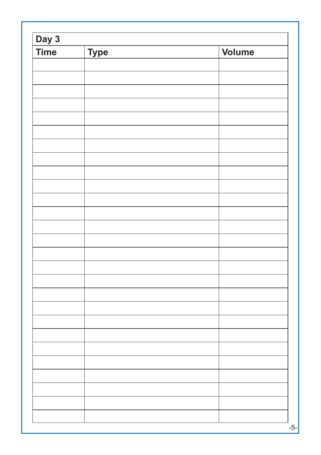| Day 3<br><b>Time</b> | <b>Type</b> | <b>Volume</b> |
|----------------------|-------------|---------------|
|                      |             |               |
|                      |             |               |
|                      |             |               |
|                      |             |               |
|                      |             |               |
|                      |             |               |
|                      |             |               |
|                      |             |               |
|                      |             |               |
|                      |             |               |
|                      |             |               |
|                      |             |               |
|                      |             |               |
|                      |             |               |
|                      |             |               |
|                      |             |               |
|                      |             |               |
|                      |             |               |
|                      |             |               |
|                      |             |               |
|                      |             |               |
|                      |             |               |
|                      |             |               |
|                      |             |               |
|                      |             |               |
|                      |             |               |
|                      |             |               |
|                      |             |               |
|                      |             |               |
|                      |             |               |
|                      |             |               |
|                      |             |               |
|                      |             |               |
|                      |             |               |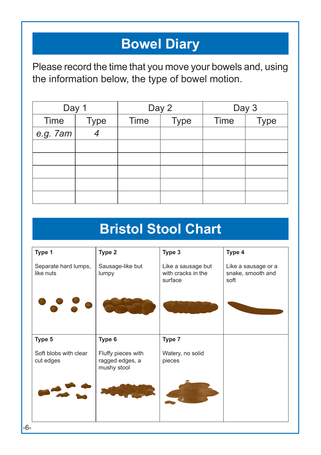## **Bowel Diary**

Please record the time that you move your bowels and, using the information below, the type of bowel motion.

| Day 1    |             |      | Day 2       |      | Day 3       |
|----------|-------------|------|-------------|------|-------------|
| Time     | <b>Type</b> | Time | <b>Type</b> | Time | <b>Type</b> |
| e.g. 7am |             |      |             |      |             |
|          |             |      |             |      |             |
|          |             |      |             |      |             |
|          |             |      |             |      |             |
|          |             |      |             |      |             |
|          |             |      |             |      |             |

## **Bristol Stool Chart**

| Type 1                             | Type 2                                               | Type 3                                              | Type 4                                           |
|------------------------------------|------------------------------------------------------|-----------------------------------------------------|--------------------------------------------------|
| Separate hard lumps,<br>like nuts  | Sausage-like but<br>lumpy                            | Like a sausage but<br>with cracks in the<br>surface | Like a sausage or a<br>snake, smooth and<br>soft |
|                                    |                                                      |                                                     |                                                  |
| Type 5                             | Type 6                                               | Type 7                                              |                                                  |
| Soft blobs with clear<br>cut edges | Fluffy pieces with<br>ragged edges, a<br>mushy stool | Watery, no solid<br>pieces                          |                                                  |
|                                    |                                                      |                                                     |                                                  |
|                                    |                                                      |                                                     |                                                  |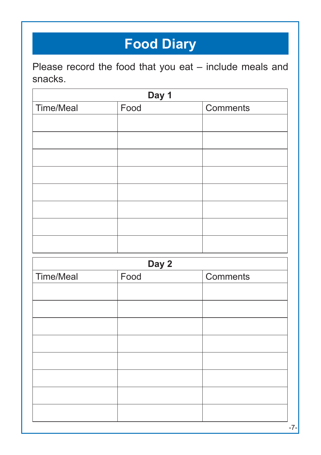# **Food Diary**

Please record the food that you eat – include meals and snacks.

| Day 1     |      |          |  |
|-----------|------|----------|--|
| Time/Meal | Food | Comments |  |
|           |      |          |  |
|           |      |          |  |
|           |      |          |  |
|           |      |          |  |
|           |      |          |  |
|           |      |          |  |
|           |      |          |  |
|           |      |          |  |

| Day 2     |      |          |
|-----------|------|----------|
| Time/Meal | Food | Comments |
|           |      |          |
|           |      |          |
|           |      |          |
|           |      |          |
|           |      |          |
|           |      |          |
|           |      |          |
|           |      |          |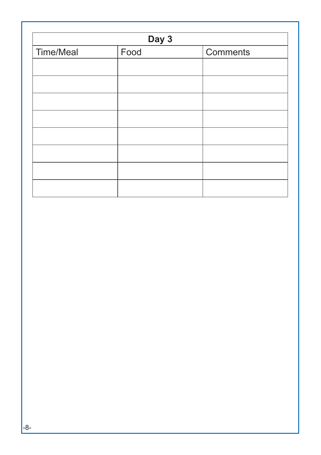| Day 3     |      |          |
|-----------|------|----------|
| Time/Meal | Food | Comments |
|           |      |          |
|           |      |          |
|           |      |          |
|           |      |          |
|           |      |          |
|           |      |          |
|           |      |          |
|           |      |          |
|           |      |          |
|           |      |          |
|           |      |          |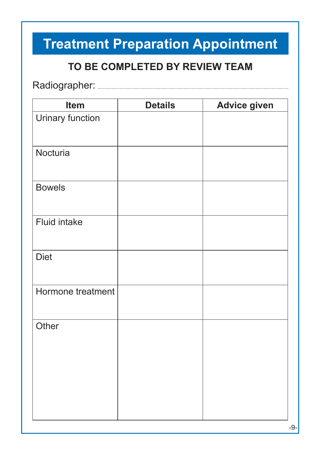# **Treatment Preparation Appointment**

#### **TO BE COMPLETED BY REVIEW TEAM**

Radiographer: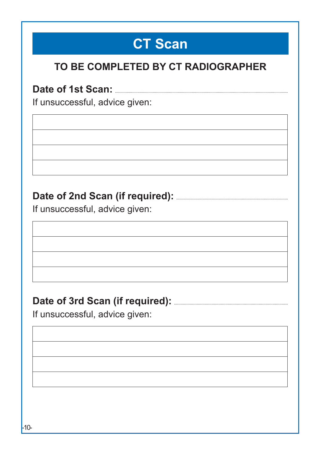## **CT Scan**

#### **TO BE COMPLETED BY CT RADIOGRAPHER**

**Date of 1st Scan:**

If unsuccessful, advice given:

#### **Date of 2nd Scan (if required):**

If unsuccessful, advice given:

#### **Date of 3rd Scan (if required):**

If unsuccessful, advice given: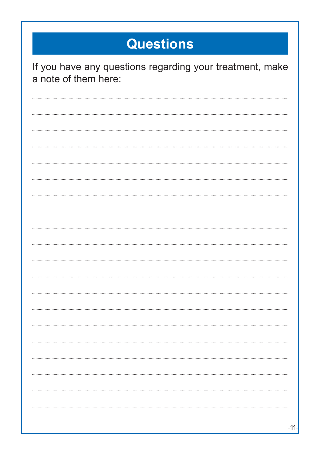# **Questions**

| If you have any questions regarding your treatment, make<br>a note of them here: |
|----------------------------------------------------------------------------------|
|                                                                                  |
|                                                                                  |
|                                                                                  |
|                                                                                  |
|                                                                                  |
|                                                                                  |
|                                                                                  |
|                                                                                  |
|                                                                                  |
|                                                                                  |
|                                                                                  |
|                                                                                  |
|                                                                                  |
|                                                                                  |
|                                                                                  |
|                                                                                  |
|                                                                                  |